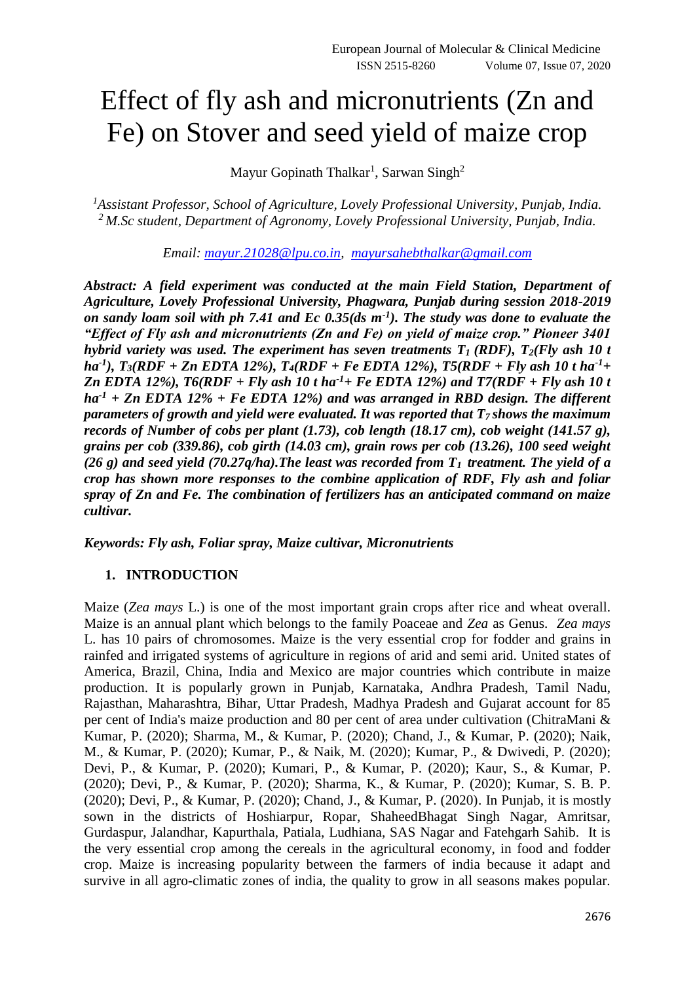# Effect of fly ash and micronutrients (Zn and Fe) on Stover and seed yield of maize crop

Mayur Gopinath Thalkar<sup>1</sup>, Sarwan Singh<sup>2</sup>

*<sup>1</sup>Assistant Professor, School of Agriculture, Lovely Professional University, Punjab, India. <sup>2</sup>M.Sc student, Department of Agronomy, Lovely Professional University, Punjab, India.*

*Email: [mayur.21028@lpu.co.in,](mailto:mayur.21028@lpu.co.in) [mayursahebthalkar@gmail.com](mailto:mayursahebthalkar@gmail.com)*

*Abstract: A field experiment was conducted at the main Field Station, Department of Agriculture, Lovely Professional University, Phagwara, Punjab during session 2018-2019 on sandy loam soil with ph 7.41 and Ec 0.35(ds m-1 ). The study was done to evaluate the "Effect of Fly ash and micronutrients (Zn and Fe) on yield of maize crop." Pioneer 3401 hybrid variety was used. The experiment has seven treatments*  $T_1$  *(RDF),*  $T_2$ *(Fly ash 10 t ha-1 ), T3(RDF + Zn EDTA 12%), T4(RDF + Fe EDTA 12%), T5(RDF + Fly ash 10 t ha-1+ Zn EDTA 12%), T6(RDF + Fly ash 10 t ha-1+ Fe EDTA 12%) and T7(RDF + Fly ash 10 t ha-1 + Zn EDTA 12% + Fe EDTA 12%) and was arranged in RBD design. The different parameters of growth and yield were evaluated. It was reported that T7 shows the maximum records of Number of cobs per plant (1.73), cob length (18.17 cm), cob weight (141.57 g), grains per cob (339.86), cob girth (14.03 cm), grain rows per cob (13.26), 100 seed weight (26 g) and seed yield (70.27q/ha).The least was recorded from T1 treatment. The yield of a crop has shown more responses to the combine application of RDF, Fly ash and foliar spray of Zn and Fe. The combination of fertilizers has an anticipated command on maize cultivar.*

*Keywords: Fly ash, Foliar spray, Maize cultivar, Micronutrients*

#### **1. INTRODUCTION**

Maize (*Zea mays* L.) is one of the most important grain crops after rice and wheat overall. Maize is an annual plant which belongs to the family Poaceae and *Zea* as Genus. *Zea mays* L. has 10 pairs of chromosomes. Maize is the very essential crop for fodder and grains in rainfed and irrigated systems of agriculture in regions of arid and semi arid. United states of America, Brazil, China, India and Mexico are major countries which contribute in maize production. It is popularly grown in Punjab, Karnataka, Andhra Pradesh, Tamil Nadu, Rajasthan, Maharashtra, Bihar, Uttar Pradesh, Madhya Pradesh and Gujarat account for 85 per cent of India's maize production and 80 per cent of area under cultivation (ChitraMani & Kumar, P. (2020); Sharma, M., & Kumar, P. (2020); Chand, J., & Kumar, P. (2020); Naik, M., & Kumar, P. (2020); Kumar, P., & Naik, M. (2020); Kumar, P., & Dwivedi, P. (2020); Devi, P., & Kumar, P. (2020); Kumari, P., & Kumar, P. (2020); Kaur, S., & Kumar, P. (2020); Devi, P., & Kumar, P. (2020); Sharma, K., & Kumar, P. (2020); Kumar, S. B. P. (2020); Devi, P., & Kumar, P. (2020); Chand, J., & Kumar, P. (2020). In Punjab, it is mostly sown in the districts of Hoshiarpur, Ropar, ShaheedBhagat Singh Nagar, Amritsar, Gurdaspur, Jalandhar, Kapurthala, Patiala, Ludhiana, SAS Nagar and Fatehgarh Sahib. It is the very essential crop among the cereals in the agricultural economy, in food and fodder crop. Maize is increasing popularity between the farmers of india because it adapt and survive in all agro-climatic zones of india, the quality to grow in all seasons makes popular.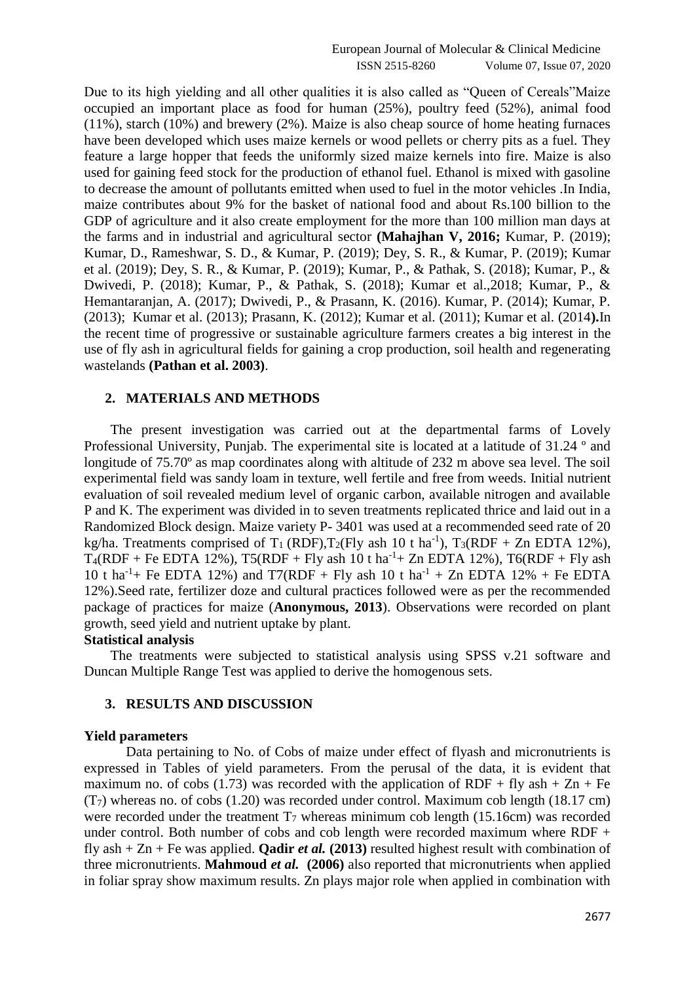Due to its high yielding and all other qualities it is also called as "Queen of Cereals"Maize occupied an important place as food for human (25%), poultry feed (52%), animal food (11%), starch (10%) and brewery (2%). Maize is also cheap source of home heating furnaces have been developed which uses maize kernels or wood pellets or cherry pits as a fuel. They feature a large hopper that feeds the uniformly sized maize kernels into fire. Maize is also used for gaining feed stock for the production of ethanol fuel. Ethanol is mixed with gasoline to decrease the amount of pollutants emitted when used to fuel in the motor vehicles .In India, maize contributes about 9% for the basket of national food and about Rs.100 billion to the GDP of agriculture and it also create employment for the more than 100 million man days at the farms and in industrial and agricultural sector **(Mahajhan V, 2016;** Kumar, P. (2019); Kumar, D., Rameshwar, S. D., & Kumar, P. (2019); Dey, S. R., & Kumar, P. (2019); Kumar et al. (2019); Dey, S. R., & Kumar, P. (2019); Kumar, P., & Pathak, S. (2018); Kumar, P., & Dwivedi, P. (2018); Kumar, P., & Pathak, S. (2018); Kumar et al.,2018; Kumar, P., & Hemantaranjan, A. (2017); Dwivedi, P., & Prasann, K. (2016). Kumar, P. (2014); Kumar, P. (2013); Kumar et al. (2013); Prasann, K. (2012); Kumar et al. (2011); Kumar et al. (2014**).**In the recent time of progressive or sustainable agriculture farmers creates a big interest in the use of fly ash in agricultural fields for gaining a crop production, soil health and regenerating wastelands **(Pathan et al. 2003)**.

#### **2. MATERIALS AND METHODS**

The present investigation was carried out at the departmental farms of Lovely Professional University, Punjab. The experimental site is located at a latitude of 31.24 ° and longitude of 75.70° as map coordinates along with altitude of 232 m above sea level. The soil experimental field was sandy loam in texture, well fertile and free from weeds. Initial nutrient evaluation of soil revealed medium level of organic carbon, available nitrogen and available P and K. The experiment was divided in to seven treatments replicated thrice and laid out in a Randomized Block design. Maize variety P- 3401 was used at a recommended seed rate of 20 kg/ha. Treatments comprised of T<sub>1</sub> (RDF), T<sub>2</sub>(Fly ash 10 t ha<sup>-1</sup>), T<sub>3</sub>(RDF + Zn EDTA 12%),  $T_4(RDF + Fe EDTA 12\%)$ ,  $T5(RDF + Fly \text{ ash } 10 \text{ t} \text{ ha}^{-1} + Zn EDTA 12\%)$ ,  $T6(RDF + Fly \text{ ash } 10 \text{ t} \text{ ha}^{-1} + Zn EDTA 12\%)$ 10 t ha<sup>-1</sup>+ Fe EDTA 12%) and T7(RDF + Fly ash 10 t ha<sup>-1</sup> + Zn EDTA 12% + Fe EDTA 12%).Seed rate, fertilizer doze and cultural practices followed were as per the recommended package of practices for maize (**Anonymous, 2013**). Observations were recorded on plant growth, seed yield and nutrient uptake by plant.

#### **Statistical analysis**

The treatments were subjected to statistical analysis using SPSS v.21 software and Duncan Multiple Range Test was applied to derive the homogenous sets.

### **3. RESULTS AND DISCUSSION**

#### **Yield parameters**

Data pertaining to No. of Cobs of maize under effect of flyash and micronutrients is expressed in Tables of yield parameters. From the perusal of the data, it is evident that maximum no. of cobs (1.73) was recorded with the application of RDF + fly ash +  $Zn$  + Fe  $(T<sub>7</sub>)$  whereas no. of cobs (1.20) was recorded under control. Maximum cob length (18.17 cm) were recorded under the treatment  $T_7$  whereas minimum cob length (15.16cm) was recorded under control. Both number of cobs and cob length were recorded maximum where RDF + fly ash  $+ Zn + Fe$  was applied. **Qadir** *et al.* (2013) resulted highest result with combination of three micronutrients. **Mahmoud** *et al.* **(2006)** also reported that micronutrients when applied in foliar spray show maximum results. Zn plays major role when applied in combination with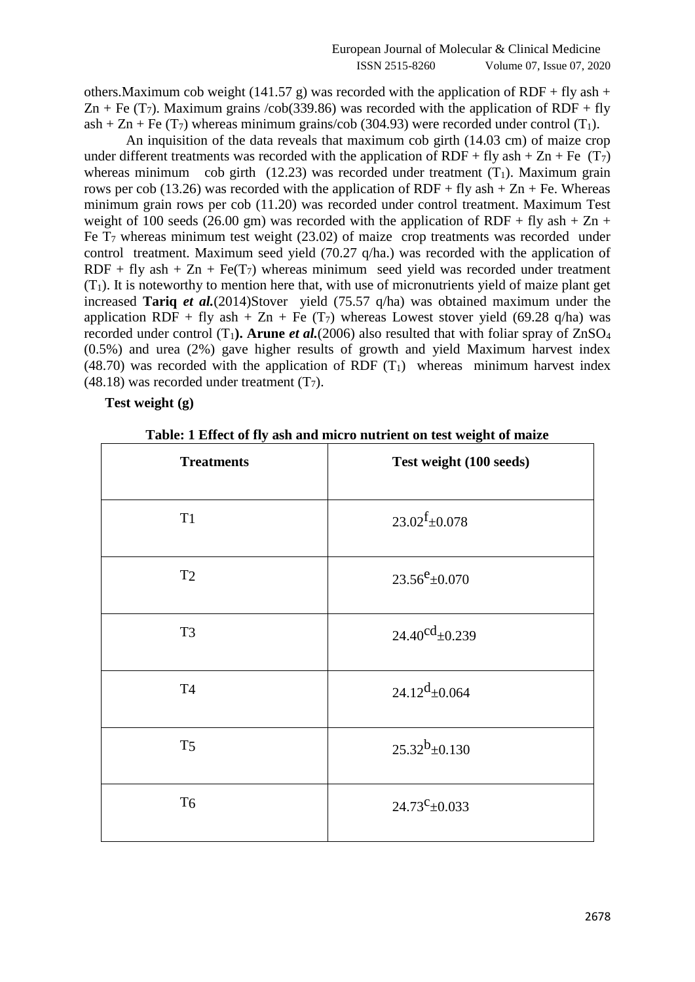others. Maximum cob weight (141.57 g) was recorded with the application of RDF + fly ash + Zn + Fe (T<sub>7</sub>). Maximum grains /cob(339.86) was recorded with the application of RDF + fly ash + Zn + Fe (T<sub>7</sub>) whereas minimum grains/cob (304.93) were recorded under control (T<sub>1</sub>).

An inquisition of the data reveals that maximum cob girth (14.03 cm) of maize crop under different treatments was recorded with the application of RDF + fly ash + Zn + Fe  $(T_7)$ whereas minimum cob girth (12.23) was recorded under treatment  $(T_1)$ . Maximum grain rows per cob (13.26) was recorded with the application of  $RDF + fly$  ash  $+ Zn + Fe$ . Whereas minimum grain rows per cob (11.20) was recorded under control treatment. Maximum Test weight of 100 seeds (26.00 gm) was recorded with the application of RDF + fly ash + Zn + Fe  $T_7$  whereas minimum test weight (23.02) of maize crop treatments was recorded under control treatment. Maximum seed yield (70.27 q/ha.) was recorded with the application of RDF + fly ash +  $Zn$  + Fe(T<sub>7</sub>) whereas minimum seed yield was recorded under treatment  $(T_1)$ . It is noteworthy to mention here that, with use of micronutrients yield of maize plant get increased **Tariq** *et al.*(2014)Stover yield (75.57 q/ha) was obtained maximum under the application RDF + fly ash + Zn + Fe  $(T_7)$  whereas Lowest stover yield (69.28 q/ha) was recorded under control  $(T_1)$ . Arune *et al.*(2006) also resulted that with foliar spray of ZnSO<sub>4</sub> (0.5%) and urea (2%) gave higher results of growth and yield Maximum harvest index (48.70) was recorded with the application of RDF  $(T_1)$  whereas minimum harvest index  $(48.18)$  was recorded under treatment  $(T<sub>7</sub>)$ .

## **Test weight (g)**

| <b>Treatments</b> | Test weight (100 seeds)          |
|-------------------|----------------------------------|
| T1                | $23.02$ <sup>f</sup> $\pm$ 0.078 |
| T <sub>2</sub>    | $23.56^{\rm e} \pm 0.070$        |
| T <sub>3</sub>    | $24.40^{\text{cd}} \pm 0.239$    |
| <b>T4</b>         | $24.12^{d} \pm 0.064$            |
| T <sub>5</sub>    | $25.32^{b} \pm 0.130$            |
| T <sub>6</sub>    | $24.73^{\rm C}$ ±0.033           |

**Table: 1 Effect of fly ash and micro nutrient on test weight of maize**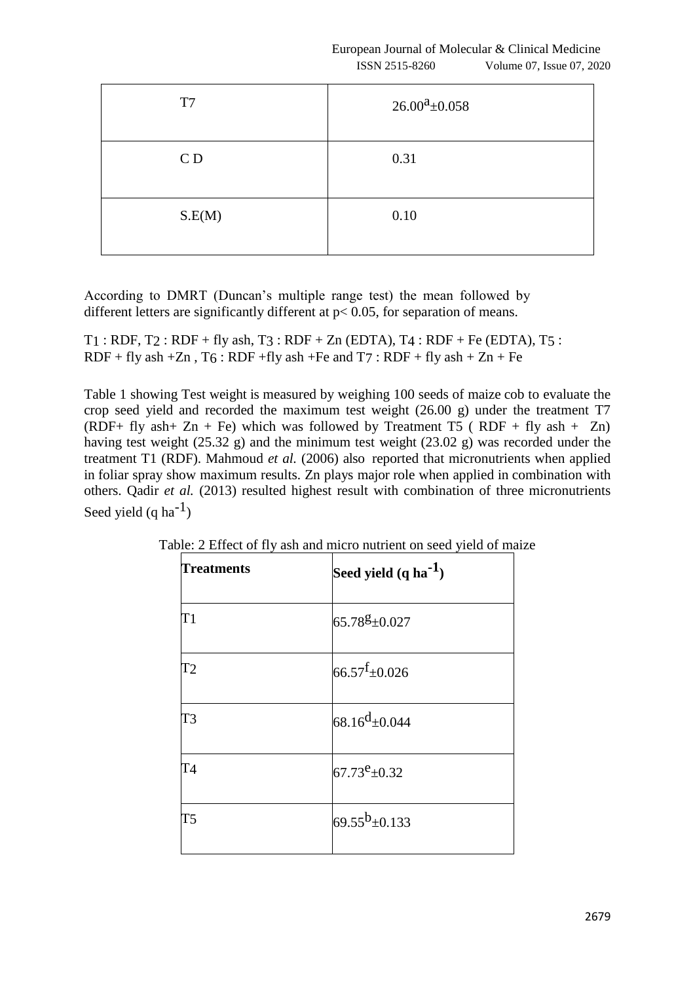| T7             | $26.00^a \pm 0.058$ |
|----------------|---------------------|
| C <sub>D</sub> | 0.31                |
| S.E(M)         | 0.10                |

According to DMRT (Duncan's multiple range test) the mean followed by different letters are significantly different at  $p < 0.05$ , for separation of means.

 $T1$ : RDF,  $T2$ : RDF + fly ash,  $T3$ : RDF + Zn (EDTA),  $T4$ : RDF + Fe (EDTA),  $T5$ : RDF + fly ash + Zn,  $T_6$ : RDF + fly ash + Fe and  $T_7$ : RDF + fly ash + Zn + Fe

Table 1 showing Test weight is measured by weighing 100 seeds of maize cob to evaluate the crop seed yield and recorded the maximum test weight (26.00 g) under the treatment T7 (RDF+ fly ash + Zn + Fe) which was followed by Treatment T5 (RDF + fly ash + Zn) having test weight (25.32 g) and the minimum test weight (23.02 g) was recorded under the treatment T1 (RDF). Mahmoud *et al.* (2006) also reported that micronutrients when applied in foliar spray show maximum results. Zn plays major role when applied in combination with others. Qadir *et al.* (2013) resulted highest result with combination of three micronutrients Seed yield  $(q \text{ ha}^{-1})$ 

| <b>Treatments</b> | Seed yield (q ha <sup>-1</sup> ) |
|-------------------|----------------------------------|
| T1                | 65.78g±0.027                     |
| T2                | $66.57$ <sup>f</sup> $\pm$ 0.026 |
| T3                | $68.16^{d} \pm 0.044$            |
| T4                | $67.73^e \pm 0.32$               |
| T5                | $69.55^b \pm 0.133$              |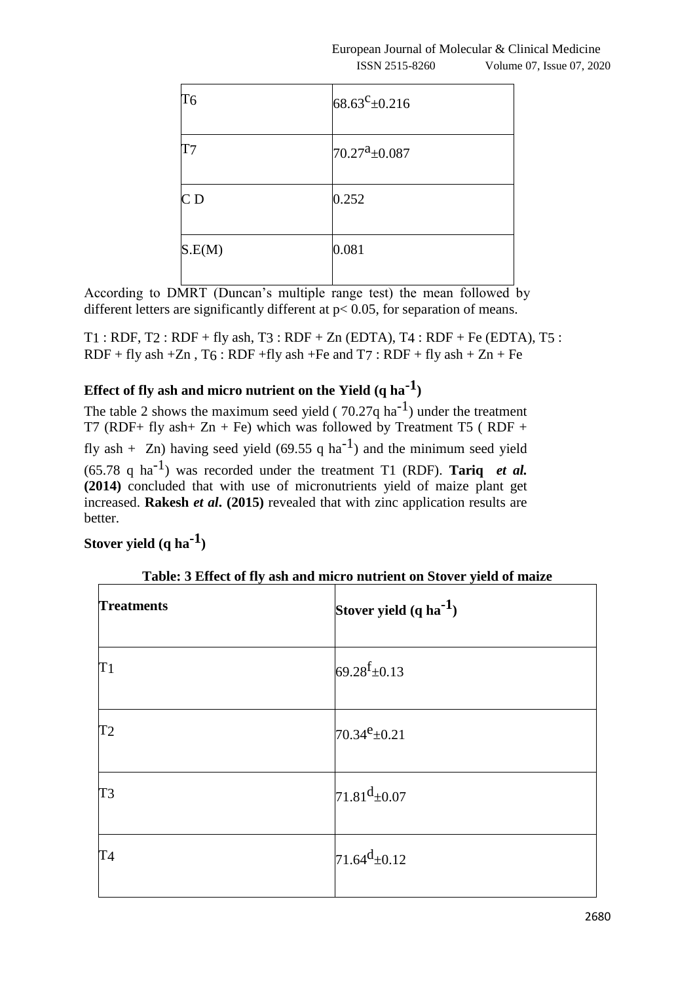| T <sub>6</sub> | 68.63 $c_{\pm 0.216}$           |
|----------------|---------------------------------|
| T7             | $70.27^{\text{a}}\text{+}0.087$ |
| CD             | 0.252                           |
| S.E(M)         | 0.081                           |

According to DMRT (Duncan's multiple range test) the mean followed by different letters are significantly different at  $p < 0.05$ , for separation of means.

 $T1$ : RDF,  $T2$ : RDF + fly ash,  $T3$ : RDF + Zn (EDTA),  $T4$ : RDF + Fe (EDTA),  $T5$ : RDF + fly ash + Zn, T6 : RDF + fly ash + Fe and  $T7$  : RDF + fly ash + Zn + Fe

# **Effect of fly ash and micro nutrient on the Yield (q ha-1 )**

The table 2 shows the maximum seed yield ( $70.27q$  ha<sup>-1</sup>) under the treatment T7 (RDF+ fly ash+ Zn + Fe) which was followed by Treatment T5 (RDF + fly ash + Zn) having seed yield (69.55 q ha<sup>-1</sup>) and the minimum seed yield  $(65.78 \text{ q ha}^{-1})$  was recorded under the treatment T1 (RDF). **Tariq** *et al.* **(2014)** concluded that with use of micronutrients yield of maize plant get increased. **Rakesh** *et al***. (2015)** revealed that with zinc application results are better.

## **Stover yield (q ha-1 )**

| <b>Treatments</b> | Tublet of the control with the metro human on biover years of manne<br>Stover yield $(q \, ha^{-1})$ |
|-------------------|------------------------------------------------------------------------------------------------------|
| T1                | $69.28 \text{f}_{\pm}0.13$                                                                           |
| T <sub>2</sub>    | $70.34^e \pm 0.21$                                                                                   |
| T <sub>3</sub>    | $71.81^{d} \pm 0.07$                                                                                 |
| <b>T4</b>         | $71.64$ <sup>d</sup> $\pm$ 0.12                                                                      |

**Table: 3 Effect of fly ash and micro nutrient on Stover yield of maize**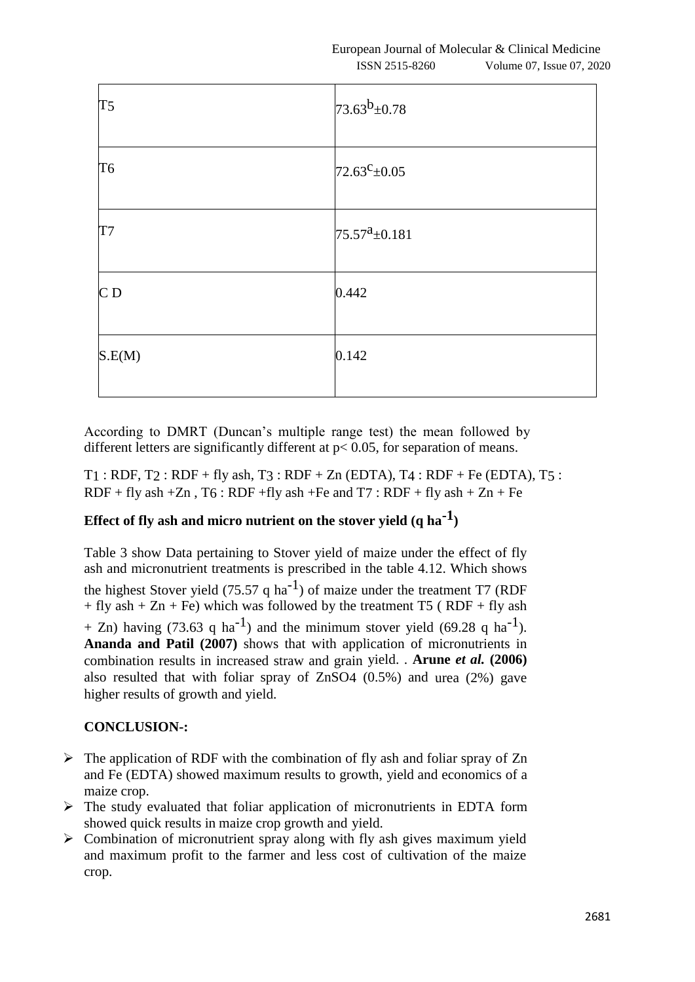| T <sub>5</sub> | $73.63^{b} \pm 0.78$  |
|----------------|-----------------------|
| T <sub>6</sub> | $72.63^{\circ}$ ±0.05 |
| T7             | $75.57^a \pm 0.181$   |
| CD             | 0.442                 |
| S.E(M)         | 0.142                 |

According to DMRT (Duncan's multiple range test) the mean followed by different letters are significantly different at  $p < 0.05$ , for separation of means.

 $T1$ : RDF,  $T2$ : RDF + fly ash,  $T3$ : RDF + Zn (EDTA),  $T4$ : RDF + Fe (EDTA),  $T5$ :  $RDF + fly$  ash  $+Zn$ ,  $T6$ :  $RDF + fly$  ash  $+Fe$  and  $T7$ :  $RDF + fly$  ash  $+ Zn + Fe$ 

# **Effect of fly ash and micro nutrient on the stover yield (q ha-1 )**

Table 3 show Data pertaining to Stover yield of maize under the effect of fly ash and micronutrient treatments is prescribed in the table 4.12. Which shows the highest Stover yield (75.57 q ha<sup>-1</sup>) of maize under the treatment T7 (RDF + fly ash + Zn + Fe) which was followed by the treatment T5 (RDF + fly ash + Zn) having (73.63 q ha<sup>-1</sup>) and the minimum stover yield (69.28 q ha<sup>-1</sup>). **Ananda and Patil (2007)** shows that with application of micronutrients in combination results in increased straw and grain yield. . **Arune** *et al.* **(2006)**  also resulted that with foliar spray of ZnSO4 (0.5%) and urea (2%) gave higher results of growth and yield.

## **CONCLUSION-:**

- $\triangleright$  The application of RDF with the combination of fly ash and foliar spray of Zn and Fe (EDTA) showed maximum results to growth, yield and economics of a maize crop.
- $\triangleright$  The study evaluated that foliar application of micronutrients in EDTA form showed quick results in maize crop growth and yield.
- $\triangleright$  Combination of micronutrient spray along with fly ash gives maximum yield and maximum profit to the farmer and less cost of cultivation of the maize crop.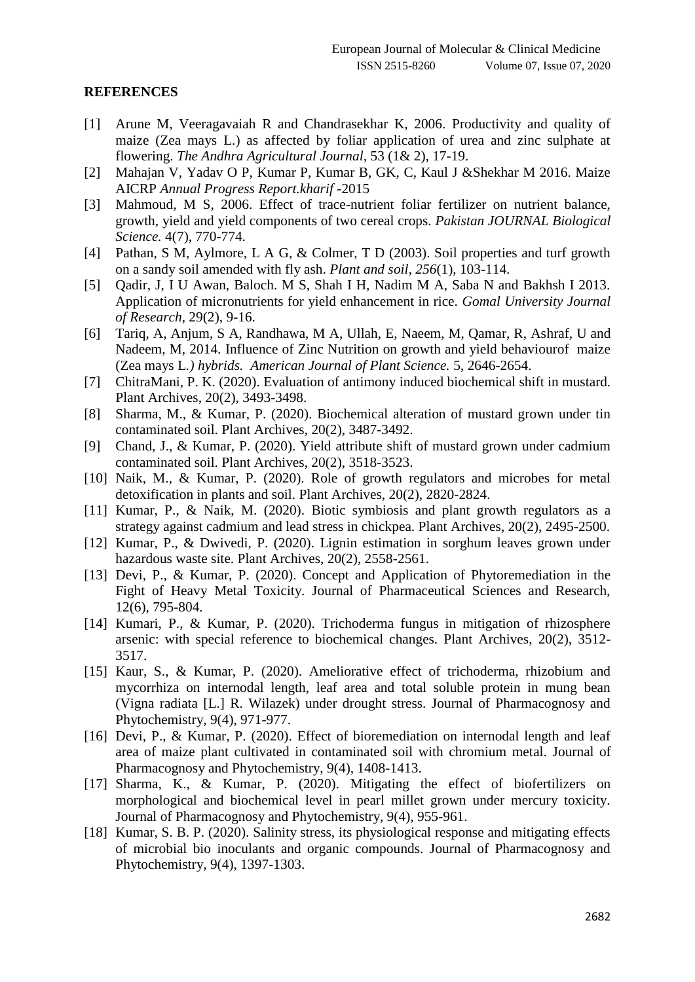#### **REFERENCES**

- [1] Arune M, Veeragavaiah R and Chandrasekhar K, 2006. Productivity and quality of maize (Zea mays L.) as affected by foliar application of urea and zinc sulphate at flowering. *The Andhra Agricultural Journal,* 53 (1& 2), 17-19.
- [2] Mahajan V, Yadav O P, Kumar P, Kumar B, GK, C, Kaul J &Shekhar M 2016. Maize AICRP *Annual Progress Report.kharif* -2015
- [3] Mahmoud, M S, 2006. Effect of trace-nutrient foliar fertilizer on nutrient balance, growth, yield and yield components of two cereal crops. *Pakistan JOURNAL Biological Science.* 4(7), 770-774.
- [4] Pathan, S M, Aylmore, L A G, & Colmer, T D (2003). Soil properties and turf growth on a sandy soil amended with fly ash. *Plant and soil*, *256*(1), 103-114.
- [5] Qadir, J, I U Awan, Baloch. M S, Shah I H, Nadim M A, Saba N and Bakhsh I 2013. Application of micronutrients for yield enhancement in rice. *Gomal University Journal of Research,* 29(2), 9-16.
- [6] Tariq, A, Anjum, S A, Randhawa, M A, Ullah, E, Naeem, M, Qamar, R, Ashraf, U and Nadeem, M, 2014. Influence of Zinc Nutrition on growth and yield behaviourof maize (Zea mays L*.) hybrids. American Journal of Plant Science.* 5, 2646-2654.
- [7] ChitraMani, P. K. (2020). Evaluation of antimony induced biochemical shift in mustard. Plant Archives, 20(2), 3493-3498.
- [8] Sharma, M., & Kumar, P. (2020). Biochemical alteration of mustard grown under tin contaminated soil. Plant Archives, 20(2), 3487-3492.
- [9] Chand, J., & Kumar, P. (2020). Yield attribute shift of mustard grown under cadmium contaminated soil. Plant Archives, 20(2), 3518-3523.
- [10] Naik, M., & Kumar, P. (2020). Role of growth regulators and microbes for metal detoxification in plants and soil. Plant Archives, 20(2), 2820-2824.
- [11] Kumar, P., & Naik, M. (2020). Biotic symbiosis and plant growth regulators as a strategy against cadmium and lead stress in chickpea. Plant Archives, 20(2), 2495-2500.
- [12] Kumar, P., & Dwivedi, P. (2020). Lignin estimation in sorghum leaves grown under hazardous waste site. Plant Archives, 20(2), 2558-2561.
- [13] Devi, P., & Kumar, P. (2020). Concept and Application of Phytoremediation in the Fight of Heavy Metal Toxicity. Journal of Pharmaceutical Sciences and Research, 12(6), 795-804.
- [14] Kumari, P., & Kumar, P. (2020). Trichoderma fungus in mitigation of rhizosphere arsenic: with special reference to biochemical changes. Plant Archives, 20(2), 3512- 3517.
- [15] Kaur, S., & Kumar, P. (2020). Ameliorative effect of trichoderma, rhizobium and mycorrhiza on internodal length, leaf area and total soluble protein in mung bean (Vigna radiata [L.] R. Wilazek) under drought stress. Journal of Pharmacognosy and Phytochemistry, 9(4), 971-977.
- [16] Devi, P., & Kumar, P. (2020). Effect of bioremediation on internodal length and leaf area of maize plant cultivated in contaminated soil with chromium metal. Journal of Pharmacognosy and Phytochemistry, 9(4), 1408-1413.
- [17] Sharma, K., & Kumar, P. (2020). Mitigating the effect of biofertilizers on morphological and biochemical level in pearl millet grown under mercury toxicity. Journal of Pharmacognosy and Phytochemistry, 9(4), 955-961.
- [18] Kumar, S. B. P. (2020). Salinity stress, its physiological response and mitigating effects of microbial bio inoculants and organic compounds. Journal of Pharmacognosy and Phytochemistry, 9(4), 1397-1303.